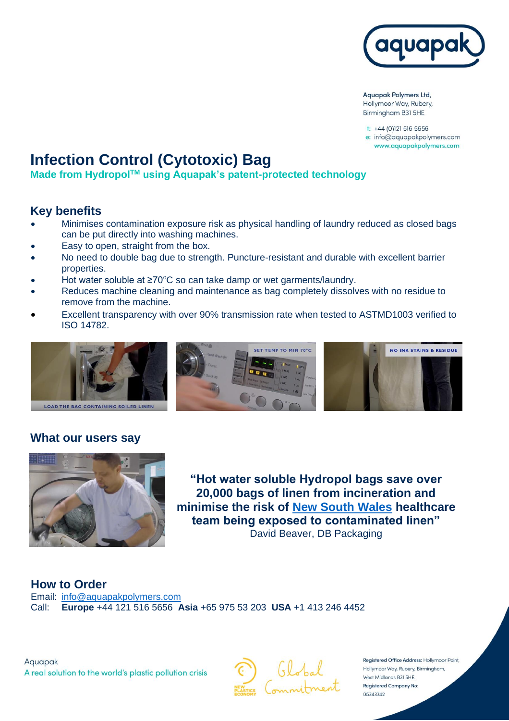

**Aquapak Polymers Ltd,** Hollymoor Way, Rubery, Birmingham B31 5HE

t: +44 (0)121 516 5656 e: info@aquapakpolymers.com www.aquapakpolymers.com

# **Infection Control (Cytotoxic) Bag**

**Made from HydropolTM using Aquapak's patent-protected technology**

#### **Key benefits**

- Minimises contamination exposure risk as physical handling of laundry reduced as closed bags can be put directly into washing machines.
- Easy to open, straight from the box.
- No need to double bag due to strength. Puncture-resistant and durable with excellent barrier properties.
- Hot water soluble at  $\geq 70^{\circ}$ C so can take damp or wet garments/laundry.
- Reduces machine cleaning and maintenance as bag completely dissolves with no residue to remove from the machine.
- Excellent transparency with over 90% transmission rate when tested to ASTMD1003 verified to ISO 14782.



# **What our users say**



**"Hot water soluble Hydropol bags save over 20,000 bags of linen from incineration and minimise the risk of [New South Wales](https://youtu.be/ACHxN5Jy-Qs) healthcare team being exposed to contaminated linen"** David Beaver, DB Packaging

**How to Order** Email: [info@aquapakpolymers.com](mailto:info@aquapakpolymers.com) Call: **Europe** +44 121 516 5656 **Asia** +65 975 53 203 **USA** +1 413 246 4452

Aquapak A real solution to the world's plastic pollution crisis



Registered Office Address: Hollymoor Point, Hollymoor Way, Rubery, Birmingham, West Midlands B31 5HE. **Registered Company No:** 05343342